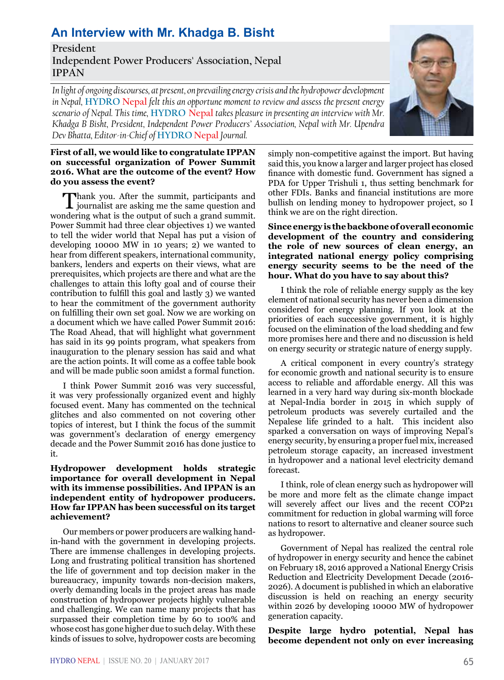# **An Interview with Mr. Khadga B. Bisht**

**President Independent Power Producers' Association, Nepal IPPAN**

*In light of ongoing discourses, at present, on prevailing energy crisis and the hydropower development in Nepal,* **HYDRO Nepal** *felt this an opportune moment to review and assess the present energy scenario of Nepal. This time,* **HYDRO Nepal** *takes pleasure in presenting an interview with Mr. Khadga B Bisht, President, Independent Power Producers' Association, Nepal with Mr. Upendra Dev Bhatta, Editor-in-Chief of* **HYDRO Nepal** *Journal.*

## **First of all, we would like to congratulate IPPAN on successful organization of Power Summit 2016. What are the outcome of the event? How do you assess the event?**

Thank you. After the summit, participants and<br>journalist are asking me the same question and<br>relatively the surfact of methods were demonstrated wondering what is the output of such a grand summit. Power Summit had three clear objectives 1) we wanted to tell the wider world that Nepal has put a vision of developing 10000 MW in 10 years; 2) we wanted to hear from different speakers, international community, bankers, lenders and experts on their views, what are prerequisites, which projects are there and what are the challenges to attain this lofty goal and of course their contribution to fulfill this goal and lastly 3) we wanted to hear the commitment of the government authority on fulfilling their own set goal. Now we are working on a document which we have called Power Summit 2016: The Road Ahead, that will highlight what government has said in its 99 points program, what speakers from inauguration to the plenary session has said and what are the action points. It will come as a coffee table book and will be made public soon amidst a formal function.

I think Power Summit 2016 was very successful, it was very professionally organized event and highly focused event. Many has commented on the technical glitches and also commented on not covering other topics of interest, but I think the focus of the summit was government's declaration of energy emergency decade and the Power Summit 2016 has done justice to it.

#### **Hydropower development holds strategic importance for overall development in Nepal with its immense possibilities. And IPPAN is an independent entity of hydropower producers. How far IPPAN has been successful on its target achievement?**

Our members or power producers are walking handin-hand with the government in developing projects. There are immense challenges in developing projects. Long and frustrating political transition has shortened the life of government and top decision maker in the bureaucracy, impunity towards non-decision makers, overly demanding locals in the project areas has made construction of hydropower projects highly vulnerable and challenging. We can name many projects that has surpassed their completion time by 60 to 100% and whose cost has gone higher due to such delay. With these kinds of issues to solve, hydropower costs are becoming simply non-competitive against the import. But having said this, you know a larger and larger project has closed finance with domestic fund. Government has signed a PDA for Upper Trishuli 1, thus setting benchmark for other FDIs. Banks and financial institutions are more bullish on lending money to hydropower project, so I think we are on the right direction.

## **Since energy is the backbone of overall economic development of the country and considering the role of new sources of clean energy, an integrated national energy policy comprising energy security seems to be the need of the hour. What do you have to say about this?**

I think the role of reliable energy supply as the key element of national security has never been a dimension considered for energy planning. If you look at the priorities of each successive government, it is highly focused on the elimination of the load shedding and few more promises here and there and no discussion is held on energy security or strategic nature of energy supply.

A critical component in every country's strategy for economic growth and national security is to ensure access to reliable and affordable energy. All this was learned in a very hard way during six-month blockade at Nepal-India border in 2015 in which supply of petroleum products was severely curtailed and the Nepalese life grinded to a halt. This incident also sparked a conversation on ways of improving Nepal's energy security, by ensuring a proper fuel mix, increased petroleum storage capacity, an increased investment in hydropower and a national level electricity demand forecast.

I think, role of clean energy such as hydropower will be more and more felt as the climate change impact will severely affect our lives and the recent COP21 commitment for reduction in global warming will force nations to resort to alternative and cleaner source such as hydropower.

Government of Nepal has realized the central role of hydropower in energy security and hence the cabinet on February 18, 2016 approved a National Energy Crisis Reduction and Electricity Development Decade (2016- 2026). A document is published in which an elaborative discussion is held on reaching an energy security within 2026 by developing 10000 MW of hydropower generation capacity.

**Despite large hydro potential, Nepal has become dependent not only on ever increasing** 

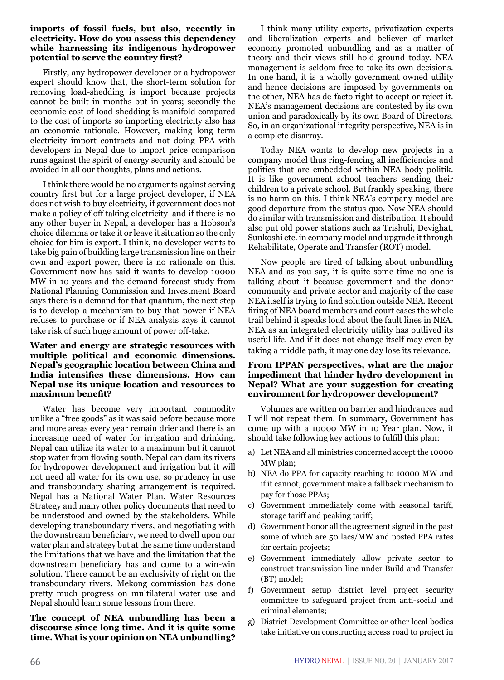## **imports of fossil fuels, but also, recently in electricity. How do you assess this dependency while harnessing its indigenous hydropower potential to serve the country first?**

Firstly, any hydropower developer or a hydropower expert should know that, the short-term solution for removing load-shedding is import because projects cannot be built in months but in years; secondly the economic cost of load-shedding is manifold compared to the cost of imports so importing electricity also has an economic rationale. However, making long term electricity import contracts and not doing PPA with developers in Nepal due to import price comparison runs against the spirit of energy security and should be avoided in all our thoughts, plans and actions.

I think there would be no arguments against serving country first but for a large project developer, if NEA does not wish to buy electricity, if government does not make a policy of off taking electricity and if there is no any other buyer in Nepal, a developer has a Hobson's choice dilemma or take it or leave it situation so the only choice for him is export. I think, no developer wants to take big pain of building large transmission line on their own and export power, there is no rationale on this. Government now has said it wants to develop 10000 MW in 10 years and the demand forecast study from National Planning Commission and Investment Board says there is a demand for that quantum, the next step is to develop a mechanism to buy that power if NEA refuses to purchase or if NEA analysis says it cannot take risk of such huge amount of power off-take.

## **Water and energy are strategic resources with multiple political and economic dimensions. Nepal's geographic location between China and India intensifies these dimensions. How can Nepal use its unique location and resources to maximum benefit?**

Water has become very important commodity unlike a "free goods" as it was said before because more and more areas every year remain drier and there is an increasing need of water for irrigation and drinking. Nepal can utilize its water to a maximum but it cannot stop water from flowing south. Nepal can dam its rivers for hydropower development and irrigation but it will not need all water for its own use, so prudency in use and transboundary sharing arrangement is required. Nepal has a National Water Plan, Water Resources Strategy and many other policy documents that need to be understood and owned by the stakeholders. While developing transboundary rivers, and negotiating with the downstream beneficiary, we need to dwell upon our water plan and strategy but at the same time understand the limitations that we have and the limitation that the downstream beneficiary has and come to a win-win solution. There cannot be an exclusivity of right on the transboundary rivers. Mekong commission has done pretty much progress on multilateral water use and Nepal should learn some lessons from there.

**The concept of NEA unbundling has been a discourse since long time. And it is quite some time. What is your opinion on NEA unbundling?**

I think many utility experts, privatization experts and liberalization experts and believer of market economy promoted unbundling and as a matter of theory and their views still hold ground today. NEA management is seldom free to take its own decisions. In one hand, it is a wholly government owned utility and hence decisions are imposed by governments on the other, NEA has de-facto right to accept or reject it. NEA's management decisions are contested by its own union and paradoxically by its own Board of Directors. So, in an organizational integrity perspective, NEA is in a complete disarray.

Today NEA wants to develop new projects in a company model thus ring-fencing all inefficiencies and politics that are embedded within NEA body politik. It is like government school teachers sending their children to a private school. But frankly speaking, there is no harm on this. I think NEA's company model are good departure from the status quo. Now NEA should do similar with transmission and distribution. It should also put old power stations such as Trishuli, Devighat, Sunkoshi etc. in company model and upgrade it through Rehabilitate, Operate and Transfer (ROT) model.

Now people are tired of talking about unbundling NEA and as you say, it is quite some time no one is talking about it because government and the donor community and private sector and majority of the case NEA itself is trying to find solution outside NEA. Recent firing of NEA board members and court cases the whole trail behind it speaks loud about the fault lines in NEA. NEA as an integrated electricity utility has outlived its useful life. And if it does not change itself may even by taking a middle path, it may one day lose its relevance.

## **From IPPAN perspectives, what are the major impediment that hinder hydro development in Nepal? What are your suggestion for creating environment for hydropower development?**

Volumes are written on barrier and hindrances and I will not repeat them. In summary, Government has come up with a 10000 MW in 10 Year plan. Now, it should take following key actions to fulfill this plan:

- a) Let NEA and all ministries concerned accept the 10000 MW plan;
- b) NEA do PPA for capacity reaching to 10000 MW and if it cannot, government make a fallback mechanism to pay for those PPAs;
- c) Government immediately come with seasonal tariff, storage tariff and peaking tariff;
- d) Government honor all the agreement signed in the past some of which are 50 lacs/MW and posted PPA rates for certain projects;
- e) Government immediately allow private sector to construct transmission line under Build and Transfer (BT) model;
- f) Government setup district level project security committee to safeguard project from anti-social and criminal elements;
- g) District Development Committee or other local bodies take initiative on constructing access road to project in